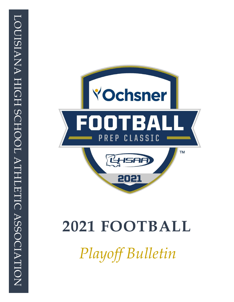

# **2021 FOOTBALL**

*Playoff Bulletin*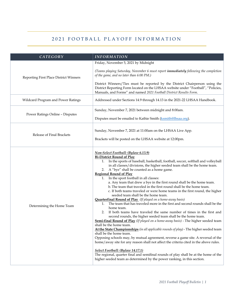### 2021 FOOTBALL PLAYOFF INFORMATION

| CATEGORY                               | <b>INFORMATION</b>                                                                                                                                                                                                                                                                                                                                                                                                                                                                                                                                                                                                                                                                                                                                                                                                                                                                                                                                                                                                                                                                                                                                                                                                                                                                                                                                                                                                                                                                                                                                                                                    |
|----------------------------------------|-------------------------------------------------------------------------------------------------------------------------------------------------------------------------------------------------------------------------------------------------------------------------------------------------------------------------------------------------------------------------------------------------------------------------------------------------------------------------------------------------------------------------------------------------------------------------------------------------------------------------------------------------------------------------------------------------------------------------------------------------------------------------------------------------------------------------------------------------------------------------------------------------------------------------------------------------------------------------------------------------------------------------------------------------------------------------------------------------------------------------------------------------------------------------------------------------------------------------------------------------------------------------------------------------------------------------------------------------------------------------------------------------------------------------------------------------------------------------------------------------------------------------------------------------------------------------------------------------------|
| Reporting First Place District Winners | Friday, November 5, 2021 by Midnight<br>(Teams playing Saturday, November 6 must report <i>immediately</i> following the completion<br>of the game, and no later than 6:00 PM.)<br>District Winners/Ties must be reported by the District Chairperson using the<br>District Reporting Form located on the LHSAA website under "Football", "Policies,<br>Manuals, and Forms" and named 2021 Football District Results Form.                                                                                                                                                                                                                                                                                                                                                                                                                                                                                                                                                                                                                                                                                                                                                                                                                                                                                                                                                                                                                                                                                                                                                                            |
| Wildcard Program and Power Ratings     | Addressed under Sections 14.9 through 14.13 in the 2021-22 LHSAA Handbook.                                                                                                                                                                                                                                                                                                                                                                                                                                                                                                                                                                                                                                                                                                                                                                                                                                                                                                                                                                                                                                                                                                                                                                                                                                                                                                                                                                                                                                                                                                                            |
| Power Ratings Online - Disputes        | Sunday, November 7, 2021 between midnight and 8:00am.<br>Disputes must be emailed to Kathie Smith (ksmith@lhsaa.org).                                                                                                                                                                                                                                                                                                                                                                                                                                                                                                                                                                                                                                                                                                                                                                                                                                                                                                                                                                                                                                                                                                                                                                                                                                                                                                                                                                                                                                                                                 |
| Release of Final Brackets              | Sunday, November 7, 2021 at 11:00am on the LHSAA Live App.<br>Brackets will be posted on the LHSAA website at 12:00pm.                                                                                                                                                                                                                                                                                                                                                                                                                                                                                                                                                                                                                                                                                                                                                                                                                                                                                                                                                                                                                                                                                                                                                                                                                                                                                                                                                                                                                                                                                |
| Determining the Home Team              | Non-Select Football: (Bylaw 6.13.9)<br><b>Bi-District Round of Play</b><br>1. In the sports of baseball, basketball, football, soccer, softball and volleyball<br>in all classes/divisions, the higher seeded team shall be the home team.<br>2. A "bye" shall be counted as a home game.<br><b>Regional Round of Play</b><br>In the sport football in all classes:<br>1.<br>a. Any team that drew a bye in the first round shall be the home team.<br>b. The team that traveled in the first round shall be the home team.<br>c. If both teams traveled or were home teams in the first round, the higher<br>seeded team shall be the home team.<br><b>Quarterfinal Round of Play</b> (If played on a home-away basis)<br>The team that has traveled more in the first and second rounds shall be the<br>1.<br>home team.<br>If both teams have traveled the same number of times in the first and<br>2.<br>second rounds, the higher seeded team shall be the home team.<br>Semi-final Round of Play (If played on a home-away basis) - The higher seeded team<br>shall be the home team.<br>At the State Championships (in all applicable rounds of play) - The higher seeded team<br>shall be the home team.<br>Opposing schools may, by mutual agreement, reverse a game site. A reversal of the<br>home/away site for any reason shall not affect the criteria cited in the above rules.<br>Select Football: (Bylaw 14.17.1)<br>The regional, quarter final and semifinal rounds of play shall be at the home of the<br>higher seeded team as determined by the power ranking, in this section. |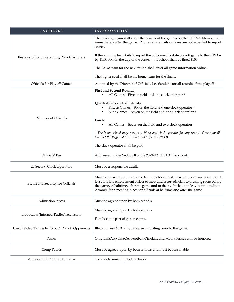| CATEGORY                                         | <b>INFORMATION</b>                                                                                                                                                                                                                                                                                                                          |
|--------------------------------------------------|---------------------------------------------------------------------------------------------------------------------------------------------------------------------------------------------------------------------------------------------------------------------------------------------------------------------------------------------|
|                                                  | The winning team will enter the results of the games on the LHSAA Member Site<br>immediately after the game. Phone calls, emails or faxes are not accepted to report<br>scores.                                                                                                                                                             |
| Responsibility of Reporting Playoff Winners      | If the winning team fails to report the outcome of a state playoff game to the LHSAA<br>by 11:00 PM on the day of the contest, the school shall be fined \$100.                                                                                                                                                                             |
|                                                  | The <i>home</i> team for the next round shall enter all game information online.                                                                                                                                                                                                                                                            |
|                                                  | The higher seed shall be the home team for the finals.                                                                                                                                                                                                                                                                                      |
| <b>Officials for Playoff Games</b>               | Assigned by the Director of Officials, Lee Sanders, for all rounds of the playoffs.                                                                                                                                                                                                                                                         |
|                                                  | <b>First and Second Rounds</b><br>All Games - Five on field and one clock operator *<br>٠<br><b>Quarterfinals and Semifinals</b>                                                                                                                                                                                                            |
|                                                  | Fifteen Games - Six on the field and one clock operator *<br>Nine Games - Seven on the field and one clock operator *<br>٠                                                                                                                                                                                                                  |
| Number of Officials                              | <u>Finals</u>                                                                                                                                                                                                                                                                                                                               |
|                                                  | All Games - Seven on the field and two clock operators<br>٠                                                                                                                                                                                                                                                                                 |
|                                                  | * The home school may request a 25 second clock operator for any round of the playoffs.<br>Contact the Regional Coordinator of Officials (RCO).                                                                                                                                                                                             |
|                                                  | The clock operator shall be paid.                                                                                                                                                                                                                                                                                                           |
| Officials' Pay                                   | Addressed under Section 8 of the 2021-22 LHSAA Handbook.                                                                                                                                                                                                                                                                                    |
| 25 Second Clock Operators                        | Must be a responsible adult.                                                                                                                                                                                                                                                                                                                |
| Escort and Security for Officials                | Must be provided by the home team. School must provide a staff member and at<br>least one law enforcement officer to meet and escort officials to dressing room before<br>the game, at halftime, after the game and to their vehicle upon leaving the stadium.<br>Arrange for a meeting place for officials at halftime and after the game. |
| <b>Admission Prices</b>                          | Must be agreed upon by both schools.                                                                                                                                                                                                                                                                                                        |
|                                                  | Must be agreed upon by both schools.                                                                                                                                                                                                                                                                                                        |
| Broadcasts (Internet/Radio/Television)           | Fees become part of gate receipts.                                                                                                                                                                                                                                                                                                          |
| Use of Video Taping to "Scout" Playoff Opponents | Illegal unless both schools agree in writing prior to the game.                                                                                                                                                                                                                                                                             |
| Passes                                           | Only LHSAA/LHSCA, Football Officials, and Media Passes will be honored.                                                                                                                                                                                                                                                                     |
| Comp Passes                                      | Must be agreed upon by both schools and must be reasonable.                                                                                                                                                                                                                                                                                 |
| Admission for Support Groups                     | To be determined by both schools.                                                                                                                                                                                                                                                                                                           |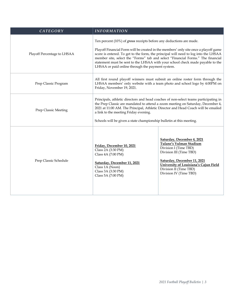| CATEGORY                    | <b>INFORMATION</b>                                                                                                                                                  |                                                                                                                                                                                                                                                                                                                                                  |
|-----------------------------|---------------------------------------------------------------------------------------------------------------------------------------------------------------------|--------------------------------------------------------------------------------------------------------------------------------------------------------------------------------------------------------------------------------------------------------------------------------------------------------------------------------------------------|
| Playoff Percentage to LHSAA | Ten percent (10%) of gross receipts before any deductions are made.<br>LHSAA or paid online through the payment system.                                             | Playoff Financial Form will be created in the members' only site once a playoff game<br>score is entered. To get to the form, the principal will need to log into the LHSAA<br>member site, select the "Forms" tab and select "Financial Forms." The financial<br>statement must be sent to the LHSAA with your school check made payable to the |
| Prep Classic Program        | Friday, November 19, 2021.                                                                                                                                          | All first round playoff winners must submit an online roster form through the<br>LHSAA members' only website with a team photo and school logo by 4:00PM on                                                                                                                                                                                      |
| Prep Classic Meeting        | a link to the meeting Friday evening.<br>Schools will be given a state championship bulletin at this meeting.                                                       | Principals, athletic directors and head coaches of non-select teams participating in<br>the Prep Classic are mandated to attend a zoom meeting on Saturday, December 4,<br>2021 at 11:00 AM. The Principal, Athletic Director and Head Coach will be emailed                                                                                     |
| Prep Classic Schedule       | Friday, December 10, 2021<br>Class 2A (3:30 PM)<br>Class 4A (7:00 PM)<br>Saturday, December 11, 2021<br>Class 1A (Noon)<br>Class 3A (3:30 PM)<br>Class 5A (7:00 PM) | Saturday, December 4, 2021<br>Tulane's Yulman Stadium<br>Division I (Time TBD)<br>Division III (Time TBD)<br>Saturday, December 11, 2021<br>University of Louisiana's Cajun Field<br>Division II (Time TBD)<br>Division IV (Time TBD)                                                                                                            |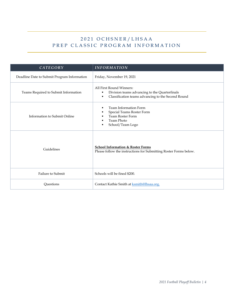## 2021 OCHSNER/LHSAA PREP CLASSIC PROGRAM INFORMATION

| CATEGORY                                    | <b>INFORMATION</b>                                                                                                                                     |
|---------------------------------------------|--------------------------------------------------------------------------------------------------------------------------------------------------------|
| Deadline Date to Submit Program Information | Friday, November 19, 2021                                                                                                                              |
| Teams Required to Submit Information        | All First Round Winners:<br>Division teams advancing to the Quarterfinals<br>٠<br>Classification teams advancing to the Second Round<br>$\blacksquare$ |
| Information to Submit Online                | <b>Team Information Form</b><br>п<br>Special Teams Roster Form<br><b>Team Roster Form</b><br>Team Photo<br>п<br>School/Team Logo<br>٠                  |
| Guidelines                                  | <b>School Information &amp; Roster Forms</b><br>Please follow the instructions for Submitting Roster Forms below.                                      |
| Failure to Submit                           | Schools will be fined \$200.                                                                                                                           |
| Questions                                   | Contact Kathie Smith at <b>ksmith@lhsaa.org</b> .                                                                                                      |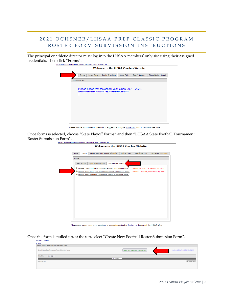#### 2021 OCHSNER/LHSAA PREP CLASSIC PROGRAM ROSTER FORM SUBMISSION INSTRUCTIONS

The principal or athletic director must log into the LHSAA members' only site using their assigned credentials. Then click "Forms".<br>
LitsAA Handbook | Coaches Phone Directory | Help | Contact Us



Please send us any comments, questions, or suggestions using the Contact Us form or call the LHSAA office.

Once forms is selected, choose "State Playoff Forms" and then "LHSAA State Football Tournament Roster Submission Form".<br>LHSAA Handbook | Coaches Phone Directory | Help | Contact Us



Please send us any comments, questions, or suggestions using the Contact Us form or call the LHSAA office.

Once the form is pulled up, at the top, select "Create New Football Roster Submission Form".

| assistant and some and in discussion and                                                                                                      |
|-----------------------------------------------------------------------------------------------------------------------------------------------|
| << BACK                                                                                                                                       |
| Search State Tournament Roster Submission Forms                                                                                               |
| Deadline: MONDAY, NOVEMBER 22, 2021<br>Search / View State Tournament Roster Submission Forms<br>+ Create New Football Roster Submission Form |
| $2021 - 2022$ $\vee$<br><b>School Year:</b>                                                                                                   |
| <b>Con</b> Search                                                                                                                             |
| <b>OF PEDITIBLE VERSION</b><br>Record Count: 0                                                                                                |
|                                                                                                                                               |
|                                                                                                                                               |
|                                                                                                                                               |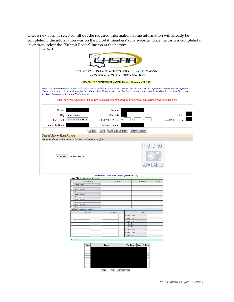Once a new form is selected, fill out the required information. Some information will already be completed if the information was on the LHSAA members' only website. Once the form is completed in its entirety select the "Submit Roster" button at the bottom.<br>  $\begin{array}{c}\n\prec$  Back

|                                                                                                                                                                                                                                                                                                                                                               | 2021-2022 LHSAA STATE FOOTBALL PREP CLASSIC<br>PROGRAM ROSTER INFORMATION                                                  |               |                                    |
|---------------------------------------------------------------------------------------------------------------------------------------------------------------------------------------------------------------------------------------------------------------------------------------------------------------------------------------------------------------|----------------------------------------------------------------------------------------------------------------------------|---------------|------------------------------------|
|                                                                                                                                                                                                                                                                                                                                                               | <b>DEADLINE TO SUBMIT INFORMATION: Monday, November 22, 2021</b>                                                           |               |                                    |
| Teams will be allowed a maximum of 180 individuals to enter the championship venue. This includes LHSAA registered coaches, LHSAA registered<br>players, managers, trainers and/or statisticians. Please fill out this form and sign it below by entering your name in the Signature textbox. To complete<br>this form please click the Submit Roster button. | If the roster isn't submitted by the deadline a violation may be levied and your school may not be printed in the program. |               |                                    |
| School:<br>City: Baton Rouge<br>-- Select one -- V<br><b>District Finish:</b>                                                                                                                                                                                                                                                                                 | Mascot:<br>Class/Div:<br>4.<br>District W-L-T Record: W                                                                    | -T:           | District:<br>Overall W-L-T Record: |
| Principal's Name:<br>Cancel                                                                                                                                                                                                                                                                                                                                   | <b>Athletic Director:</b><br>Save and Go Back<br>Save                                                                      | Submit Roster |                                    |
| <b>Upload Roster Team Picture</b>                                                                                                                                                                                                                                                                                                                             |                                                                                                                            |               |                                    |
| To upload Click the browse button and select the file.<br>No file selected.<br>Browse                                                                                                                                                                                                                                                                         |                                                                                                                            | PHOTO NOT     |                                    |

#### Current Number of Individuals entered: 0 (Maximum = 180) Coaches' Section (Maximum # of

| #  | <b>Select Coaches</b>                 | <b>Last Name</b>  |                | <b>First Name</b> | Position |  |
|----|---------------------------------------|-------------------|----------------|-------------------|----------|--|
| l1 | $\checkmark$<br>--Solort Coach--      |                   |                |                   |          |  |
|    |                                       |                   |                |                   |          |  |
| l2 | -Solort Coach-<br>$\checkmark$        |                   |                |                   |          |  |
| 3  | $\checkmark$<br>--Select Coach--      |                   |                |                   |          |  |
| 4  | $\checkmark$<br>--Solort Coach--      |                   |                |                   |          |  |
| 15 | $\checkmark$<br>-Solort Coach-        |                   |                |                   |          |  |
| 16 | $\checkmark$<br>--Select Coach--      |                   |                |                   |          |  |
|    | --Select Coach--<br>v.                |                   |                |                   |          |  |
| 18 | --Solort Coach--<br>v                 |                   |                |                   |          |  |
| l9 | -Solort Coach--<br>$\checkmark$       |                   |                |                   |          |  |
| 10 | --Select Coach--<br>v                 |                   |                |                   |          |  |
|    | Staff Section (Maximum # of Staff: 8) |                   |                |                   |          |  |
| #  | <b>Last Name</b>                      | <b>First Name</b> |                | Position          |          |  |
|    |                                       |                   | --Select One-- | $\checkmark$      |          |  |
| l2 |                                       |                   | --Select One-- | $\checkmark$      |          |  |
| 3  |                                       |                   | --Select One-- | $\checkmark$      |          |  |
| l4 |                                       |                   | --Select One-- | $\checkmark$      |          |  |
| 5  |                                       |                   | --Select One-- | $\checkmark$      |          |  |
| l6 |                                       |                   | --Select One-- | $\checkmark$      |          |  |
|    |                                       |                   | --Select One-- | $\checkmark$      |          |  |
| l8 |                                       |                   | --Select One-- | $\checkmark$      |          |  |

#### Season Results